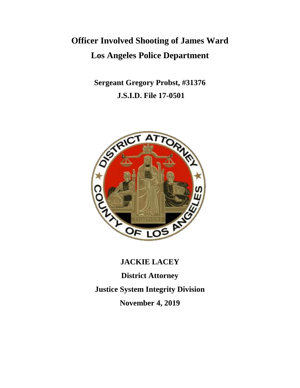# **Officer Involved Shooting of James Ward Los Angeles Police Department**

**Sergeant Gregory Probst, #31376 J.S.I.D. File 17-0501**



# **JACKIE LACEY District Attorney Justice System Integrity Division**

**November 4, 2019**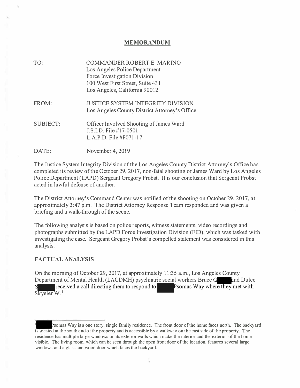### **MEMORANDUM**

| TO:      | COMMANDER ROBERT E. MARINO<br>Los Angeles Police Department<br>Force Investigation Division<br>100 West First Street, Suite 431<br>Los Angeles, California 90012 |
|----------|------------------------------------------------------------------------------------------------------------------------------------------------------------------|
| FROM:    | <b>JUSTICE SYSTEM INTEGRITY DIVISION</b><br>Los Angeles County District Attorney's Office                                                                        |
| SUBJECT: | Officer Involved Shooting of James Ward<br>J.S.I.D. File #17-0501<br>L.A.P.D. File $#F071-17$                                                                    |
| DATE:    | November 4, 2019                                                                                                                                                 |

The Justice System Integrity Division of the Los Angeles County District Attorney's Office has completed its review of the October 29, 2017, non-fatal shooting of James Ward by Los Angeles Police Department (LAPD) Sergeant Gregory Probst. It is our conclusion that Sergeant Probst acted in lawful defense of another.

The District Attorney's Command Center was notified of the shooting on October 29, 2017, at approximately 3:47 p.m. The District Attorney Response Team responded and was given a briefing and a walk-through of the scene.

The following analysis is based on police reports, witness statements, video recordings and photographs submitted by the LAPD Force Investigation Division (FID), which was tasked with investigating the case. Sergeant Gregory Probst's compelled statement was considered in this analysis.

#### **FACTUAL ANALYSIS**

On the morning of October 29, 2017, at approximately 11 :35 a.m., Los Angeles County Department of Mental Health (LACDMH) psychiatric social workers Bruce G and Dulce  $S \qquad \qquad \Box$ received a call directing them to respond to Psomas Way where they met with Skyeler W. 1

Psomas Way is a one story, single family residence. The front door of the home faces north. The backyard is located at the south end of the property and is accessible by a walkway on the east side of the property. The residence has multiple large windows on its exterior walls which make the interior and the exterior of the home visible. The living room, which can be seen through the open front door of the location, features several large windows and a glass and wood door which faces the backyard.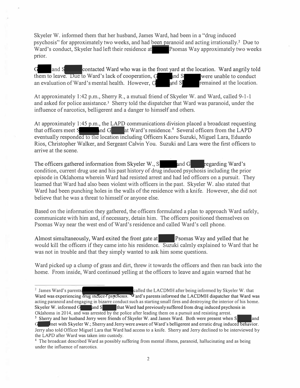Skyeler W. informed them that her husband, James Ward, had been in a "drug induced psychosis" for approximately two weeks, and had been paranoid and acting irrationally.<sup>2</sup> Due to Ward's conduct, Skyeler had left their residence at Psomas Way approximately two weeks prior.

G and S contacted Ward who was in the front yard at the location. Ward angrily told them to leave. Due to Ward's lack of cooperation,  $G$  and  $S$  were unable to conduct an evaluation of Ward's mental health. However,  $G$  and  $S$  remained at the location. an evaluation of Ward's mental health. However,  $G$  and  $S$  remained at the location.

At approximately 1:42 p.m., Sherry R., a mutual friend of Skyeler W. and Ward, called 9-1-1 and asked for police assistance.<sup>3</sup> Sherry told the dispatcher that Ward was paranoid, under the influence of narcotics, belligerent and a danger to himself and others.

At approximately 1 :45 p.m., the LAPD communications division placed a broadcast requesting that officers meet  $S_{\text{and }G}$  at Ward's residence.<sup>4</sup> Several officers from the LAPD eventually responded to the location including Officers Kaoru Suzuki, Miguel Lara, Eduardo Rios, Christopher Walker, and Sergeant Calvin You. Suzuki and Lara were the first officers to arrive at the scene.

The officers gathered information from Skyeler W.,  $S$  and  $G$  regarding Ward's condition, current drug use and his past history of drug induced psychosis including the prior episode in Oklahoma wherein Ward had resisted arrest and had led officers on a pursuit. They learned that Ward had also been violent with officers in the past. Skyeler W. also stated that Ward had been punching holes in the walls of the residence with a knife. However, she did not believe that he was a threat to himself or anyone else.

Based on the infonnation they gathered, the officers fonnulated a plan to approach Ward safely, communicate with him and, if necessary, detain him. The officers positioned themselves on Psomas Way near the west end of Ward's residence and called Ward's cell phone.

Almost simultaneously, Ward exited the front gate at Psomas Way and yelled that he would kill the officers if they came into his residence. Suzuki calmly explained to Ward that he was not in trouble and that they simply wanted to ask him some questions.

Ward picked up a clump of grass and dirt, threw it towards the officers and then ran back into the home. From inside, Ward continued yelling at the officers to leave and again warned that he

<sup>&</sup>lt;sup>2</sup> James Ward's parents-called the LACDMH after being informed by Skyeler W. that Ward was experiencing drug induced psychosis. Vard's parents informed the LACDMH dispatcher that Ward was acting paranoid and engaging in bizarre conduct such as starting small fires and destroying the interior of his home. Skyeler W. informed  $\overline{G}$  and  $\overline{S}$  that Ward had previously suffered from drug induced psychosis in Oklahoma in 2014, and was arrested by the police after leading them on a pursuit and resisting arrest. <sup>3</sup> Sherry and her husband Jerry were friends of Skyeler W. and James Ward. Both were present when S

<sup>&</sup>lt;sup>3</sup> Sherry and her husband Jerry were friends of Skyeler W. and James Ward. Both were present when S<sub>and</sub> and Gang and Gang and Gang and Gang and Gang and Gang and Gang and Gang and Gang and Gang and Gang and Gang and Gang Jerry also told Officer Miguel Lara that Ward had access to a knife. Sherry and Jerry declined to be interviewed by the LAPD after Ward was taken into custody.

**<sup>4</sup>**The broadcast described Ward as possibly suffering from mental illness, paranoid, hallucinating and as being under the influence of narcotics.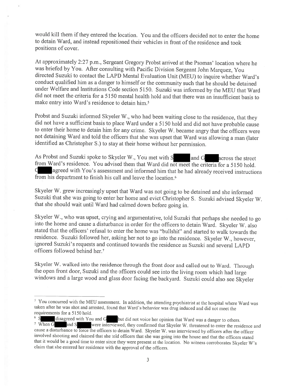would kill them if they entered the location. You and the officers decided not to enter the home to detain Ward, and instead repositioned their vehicles in front of the residence and took positions of cover.

At approximately 2:27 p.m., Sergeant Gregory Probst arrived at the Psomas' location where he was briefed by You. After consulting with Pacific Division Sergeant John Marquez, You directed Suzuki to contact the LAPD Mental Evaluation Unit (MEU) to inquire whether Ward's conduct qualified him as a danger to himself or the community such that he should be detained under Welfare and Institutions Code section 5150. Suzuki was informed by the MEU that Ward did not meet the criteria for a 5150 mental health hold and that there was an insufficient basis to make entry into Ward's residence to detain him.<sup>5</sup>

Probst and Suzuki informed Skyeler W., who had been waiting close to the residence, that they did not have a sufficient basis to place Ward under a 5150 hold and did not have probable cause to enter their home to detain him for any crime. Skyeler W. became angry that the officers were not detaining Ward and told the officers that she was upset that Ward was allowing a man (later identified as Christopher S.) to stay at their home without her permission.

As Probst and Suzuki spoke to Skyeler W., You met with S and G across the street from Ward's residence. You advised them that Ward did not meet the criteria for a 5150 hold. agreed with You's assessment and informed him that he had already received instructions G from his department to finish his call and leave the location.<sup>6</sup>

Skyeler W. grew increasingly upset that Ward was not going to be detained and she informed Suzuki that she was going to enter her home and evict Christopher S. Suzuki advised Skyeler W. that she should wait until Ward had calmed down before going in.

Skyeler W., who was upset, crying and argumentative, told Suzuki that perhaps she needed to go into the home and cause a disturbance in order for the officers to detain Ward. Skyeler W. also stated that the officers' refusal to enter the home was "bullshit" and started to walk towards the residence. Suzuki followed her, asking her not to go into the residence. Skyeler W., however, ignored Suzuki's requests and continued towards the residence as Suzuki and several LAPD officers followed behind her.<sup>7</sup>

Skyeler W. walked into the residence through the front door and called out to Ward. Through the open front door, Suzuki and the officers could see into the living room which had large windows and a large wood and glass door facing the backyard. Suzuki could also see Skyeler

 $5$  You concurred with the MEU assessment. In addition, the attending psychiatrist at the hospital where Ward was taken after he was shot and arrested, found that Ward's behavior was drug induced and did not meet the requirements for a 5150 hold.

disagreed with You and G but did not voice her opinion that Ward was a danger to others. were interviewed, they confirmed that Skyeler W. threatened to enter the residence and <sup>7</sup> When G and S. cause a disturbance to force the officers to detain Ward. Skyeler W. was interviewed by officers after the officer involved shooting and claimed that she told officers that she was going into the house and that the officers stated that it would be a good time to enter since they were present at the location. No witness corroborates Skyeler W's claim that she entered her residence with the approval of the officers.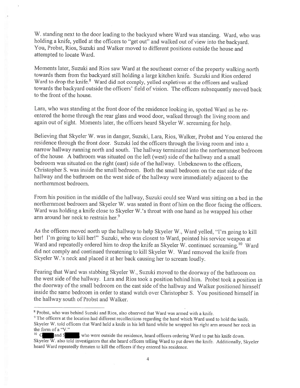W. standing next to the door leading to the backyard where Ward was standing. Ward, who was holding a knife, yelled at the officers to "get out" and walked out of view into the backyard. You, Probst, Rios, Suzuki and Walker moved to different positions outside the house and attempted to locate Ward.

Moments later, Suzuki and Rios saw Ward at the southeast corner of the property walking north towards them from the backyard still holding a large kitchen knife. Suzuki and Rios ordered Ward to drop the knife.<sup>8</sup> Ward did not comply, yelled expletives at the officers and walked towards the backyard outside the officers' field of vision. The officers subsequently moved back to the front of the house.

Lara, who was standing at the front door of the residence looking in, spotted Ward as he reentered the home through the rear glass and wood door, walked through the living room and again out of sight. Moments later, the officers heard Skyeler W. screaming for help.

Believing that Skyeler W. was in danger, Suzuki, Lara, Rios, Walker, Probst and You entered the residence through the front door. Suzuki led the officers through the living room and into a narrow hallway running north and south. The hallway terminated into the northernmost bedroom of the house. A bathroom was situated on the left (west) side of the hallway and a small bedroom was situated on the right (east) side of the hallway. Unbeknown to the officers, Christopher S. was inside the small bedroom. Both the small bedroom on the east side of the hallway and the bathroom on the west side of the hallway were immediately adjacent to the northernmost bedroom.

From his position in the middle of the hallway, Suzuki could see Ward was sitting on a bed in the northernmost bedroom and Skyeler W. was seated in front of him on the floor facing the officers. Ward was holding a knife close to Skyeler W.'s throat with one hand as he wrapped his other arm around her neck to restrain her.<sup>9</sup>

As the officers moved north up the hallway to help Skyeler W., Ward yelled, "I'm going to kill her! I'm going to kill her!" Suzuki, who was closest to Ward, pointed his service weapon at Ward and repeatedly ordered him to drop the knife as Skyeler W. continued screaming.<sup>10</sup> Ward did not comply and continued threatening to kill Skyeler W. Ward removed the knife from Skyeler W.'s neck and placed it at her back causing her to scream loudly.

Fearing that Ward was stabbing Skyeler W., Suzuki moved to the doorway of the bathroom on the west side of the hallway. Lara and Rios took a position behind him. Probst took a position in the doorway of the small bedroom on the east side of the hallway and Walker positioned himself inside the same bedroom in order to stand watch over Christopher S. You positioned himself in the hallway south of Probst and Walker.

<sup>&</sup>lt;sup>8</sup> Probst, who was behind Suzuki and Rios, also observed that Ward was armed with a knife.

<sup>&</sup>lt;sup>9</sup> The officers at the location had different recollections regarding the hand which Ward used to hold the knife. Skyeler W. told officers that Ward held a knife in his left hand while he wrapped his right arm around her neck in the form of a "V."

 $10\, G$ who were outside the residence, heard officers ordering Ward to put his knife down. and S Skyeler W. also told investigators that she heard officers telling Ward to put down the knife. Additionally, Skyeler heard Ward repeatedly threaten to kill the officers if they entered his residence.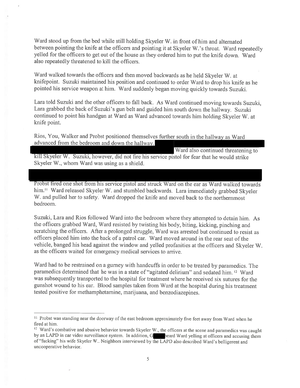Ward stood up from the bed while still holding Skyeler W, in front of him and alternated between pointing the knife at the officers and pointing it at Skyeler W.'s throat. Ward repeatedly yelled for the officers to get out of the house as they ordered him to put the knife down. Ward also repeatedly threatened to kill the officers.

Ward walked towards the officers and then moved backwards as he held Skyeler W. at knifepoint. Suzuki maintained his position and continued to order Ward to drop his knife as he pointed his service weapon at him. Ward suddenly began moving quickly towards Suzuki.

Lara told Suzuki and the other officers to fall back. As Ward continued moving towards Suzuki, Lara grabbed the back of Suzuki's gun belt and guided him south down the hallway. Suzuki continued to point his handgun at Ward as Ward advanced towards him holding Skyeler W. at knife point.

Rios, You, Walker and Probst positioned themselves further south in the hallway as Ward advanced from the bedroom and down the hallway.

Ward also continued threatening to kill Skyeler W. Suzuki, however, did not fire his service pistol for fear that he would strike Skyeler W., whom Ward was using as a shield.

Probst fired one shot from his service pistol and struck Ward on the ear as Ward walked towards him.<sup>11</sup> Ward released Skyeler W. and stumbled backwards. Lara immediately grabbed Skyeler W. and pulled her to safety. Ward dropped the knife and moved back to the northernmost bedroom.

Suzuki, Lara and Rios followed Ward into the bedroom where they attempted to detain him. As the officers grabbed Ward, Ward resisted by twisting his body, biting, kicking, pinching and scratching the officers. After a prolonged struggle, Ward was arrested but continued to resist as officers placed him into the back of a patrol car. Ward moved around in the rear seat of the vehicle, banged his head against the window and yelled profanities at the officers and Skyeler W. as the officers waited for emergency medical services to arrive.

Ward had to be restrained on a gurney with handcuffs in order to be treated by paramedics. The paramedics determined that he was in a state of "agitated delirium" and sedated him. <sup>12</sup> Ward was subsequently transported to the hospital for treatment where he received six sutures for the gunshot wound to his ear. Blood samples taken from Ward at the hospital during his treatment tested positive for methamphetamine, marijuana, and benzodiazepines.

<sup>&</sup>lt;sup>11</sup> Probst was standing near the doorway of the east bedroom approximately five feet away from Ward when he fired at him.

<sup>&</sup>lt;sup>12</sup> Ward's combative and abusive behavior towards Skyeler W., the officers at the scene and paramedics was caught by an LAPD in car video surveillance system. In addition, G heard Ward yelling at officers and accusing them of "fucking" his wife Skyeler W.. Neighbors interviewed by the LAPD also described Ward's belligerent and uncooperative behavior.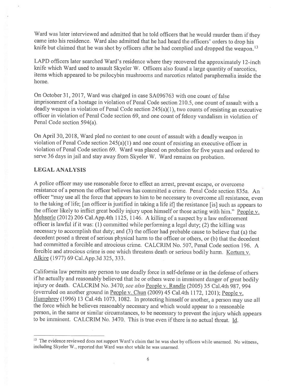Ward was later interviewed and admitted that he told officers that he would murder them if they came into his residence. Ward also admitted that he had heard the officers' orders to drop his knife but claimed that he was shot by officers after he had complied and dropped the weapon.<sup>13</sup>

LAPD officers later searched Ward's residence where they recovered the approximately 12-inch knife which Ward used to assault Skyeler W. Officers also found a large quantity of narcotics. items which appeared to be psilocybin mushrooms and narcotics related paraphernalia inside the home.

On October 31, 2017, Ward was charged in case SA096763 with one count of false imprisonment of a hostage in violation of Penal Code section 210.5, one count of assault with a deadly weapon in violation of Penal Code section  $245(a)(1)$ , two counts of resisting an executive officer in violation of Penal Code section 69, and one count of felony vandalism in violation of Penal Code section 594(a).

On April 30, 2018, Ward pled no contest to one count of assault with a deadly weapon in violation of Penal Code section  $245(a)(1)$  and one count of resisting an executive officer in violation of Penal Code section 69. Ward was placed on probation for five years and ordered to serve 36 days in jail and stay away from Skyeler W. Ward remains on probation.

## **LEGAL ANALYSIS**

A police officer may use reasonable force to effect an arrest, prevent escape, or overcome resistance of a person the officer believes has committed a crime. Penal Code section 835a. An officer "may use all the force that appears to him to be necessary to overcome all resistance, even to the taking of life; [an officer is justified in taking a life if] the resistance [is] such as appears to the officer likely to inflict great bodily injury upon himself or those acting with him." People v. Mehserle (2012) 206 Cal. App. 4th 1125, 1146. A killing of a suspect by a law enforcement officer is lawful if it was: (1) committed while performing a legal duty; (2) the killing was necessary to accomplish that duty; and (3) the officer had probable cause to believe that (a) the decedent posed a threat of serious physical harm to the officer or others, or (b) that the decedent had committed a forcible and atrocious crime. CALCRIM No. 507, Penal Code section 196. A forcible and atrocious crime is one which threatens death or serious bodily harm. Kortum v. Alkire (1977) 69 Cal. App. 3d 325, 333.

California law permits any person to use deadly force in self-defense or in the defense of others if he actually and reasonably believed that he or others were in imminent danger of great bodily injury or death. CALCRIM No. 3470; see also People v. Randle (2005) 35 Cal.4th 987, 994 (overruled on another ground in People v. Chun (2009) 45 Cal.4th 1172, 1201); People v. Humphrey (1996) 13 Cal.4th 1073, 1082. In protecting himself or another, a person may use all the force which he believes reasonably necessary and which would appear to a reasonable person, in the same or similar circumstances, to be necessary to prevent the injury which appears to be imminent. CALCRIM No. 3470. This is true even if there is no actual threat.  $\underline{Id}$ .

<sup>&</sup>lt;sup>13</sup> The evidence reviewed does not support Ward's claim that he was shot by officers while unarmed. No witness, including Skyeler W., reported that Ward was shot while he was unarmed.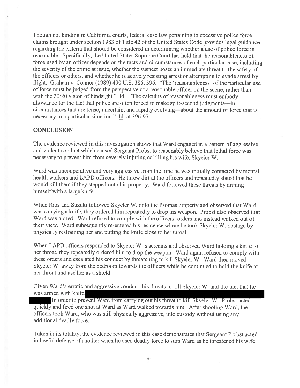Though not binding in California courts, federal case law pertaining to excessive police force claims brought under section 1983 of Title 42 of the United States Code provides legal guidance regarding the criteria that should be considered in determining whether a use of police force is reasonable. Specifically, the United States Supreme Court has held that the reasonableness of force used by an officer depends on the facts and circumstances of each particular case, including the severity of the crime at issue, whether the suspect poses an immediate threat to the safety of the officers or others, and whether he is actively resisting arrest or attempting to evade arrest by flight. Graham v. Connor (1989) 490 U.S. 386, 396. "The 'reasonableness' of the particular use of force must be judged from the perspective of a reasonable officer on the scene, rather than with the 20/20 vision of hindsight."  $\overline{Id}$ . "The calculus of reasonableness must embody allowance for the fact that police are often forced to make split-second judgments—in circumstances that are tense, uncertain, and rapidly evolving—about the amount of force that is necessary in a particular situation." Id. at 396-97.

# **CONCLUSION**

The evidence reviewed in this investigation shows that Ward engaged in a pattern of aggressive and violent conduct which caused Sergeant Probst to reasonably believe that lethal force was necessary to prevent him from severely injuring or killing his wife, Skyeler W.

Ward was uncooperative and very aggressive from the time he was initially contacted by mental health workers and LAPD officers. He threw dirt at the officers and repeatedly stated that he would kill them if they stepped onto his property. Ward followed these threats by arming himself with a large knife.

When Rios and Suzuki followed Skyeler W. onto the Psomas property and observed that Ward was carrying a knife, they ordered him repeatedly to drop his weapon. Probst also observed that Ward was armed. Ward refused to comply with the officers' orders and instead walked out of their view. Ward subsequently re-entered his residence where he took Skyeler W. hostage by physically restraining her and putting the knife close to her throat.

When LAPD officers responded to Skyeler W.'s screams and observed Ward holding a knife to her throat, they repeatedly ordered him to drop the weapon. Ward again refused to comply with these orders and escalated his conduct by threatening to kill Skyeler W. Ward then moved Skyeler W. away from the bedroom towards the officers while he continued to hold the knife at her throat and use her as a shield.

Given Ward's erratic and aggressive conduct, his threats to kill Skyeler W. and the fact that he was armed with knife.

In order to prevent Ward from carrying out his threat to kill Skyeler W., Probst acted quickly and fired one shot at Ward as Ward walked towards him. After shooting Ward, the officers took Ward, who was still physically aggressive, into custody without using any additional deadly force.

Taken in its totality, the evidence reviewed in this case demonstrates that Sergeant Probst acted in lawful defense of another when he used deadly force to stop Ward as he threatened his wife